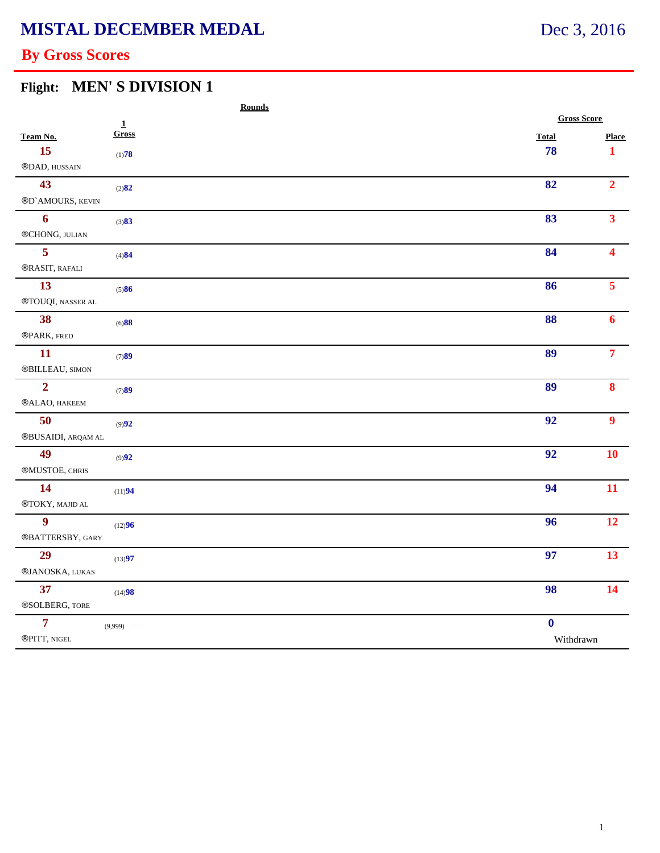# **MISTAL DECEMBER MEDAL**

### **By Gross Scores**

# **Flight: MEN' S DIVISION 1**

|                                                                         |                          | <b>Rounds</b> |  |  |                    |                      |  |
|-------------------------------------------------------------------------|--------------------------|---------------|--|--|--------------------|----------------------|--|
|                                                                         | $\underline{\mathbf{1}}$ |               |  |  | <b>Gross Score</b> |                      |  |
| Team No.                                                                | Gross                    |               |  |  | <b>Total</b>       | <b>Place</b>         |  |
| 15                                                                      | (1)78                    |               |  |  | 78                 | $\mathbf{1}$         |  |
| ®DAD, HUSSAIN                                                           |                          |               |  |  |                    |                      |  |
| 43                                                                      | (2)82                    |               |  |  | 82                 | $\overline{2}$       |  |
| ®D'AMOURS, KEVIN                                                        |                          |               |  |  |                    |                      |  |
| 6                                                                       | (3)83                    |               |  |  | 83                 | 3 <sup>1</sup>       |  |
| ®CHONG, JULIAN                                                          |                          |               |  |  |                    |                      |  |
| 5                                                                       | (4)84                    |               |  |  | 84                 | $\blacktriangleleft$ |  |
| ®RASIT, RAFALI                                                          |                          |               |  |  |                    |                      |  |
| 13                                                                      | (5)86                    |               |  |  | 86                 | 5 <sup>7</sup>       |  |
| $\circledR$ TOUQI, NASSER AL                                            |                          |               |  |  |                    |                      |  |
| 38                                                                      | (6)88                    |               |  |  | 88                 | $\boldsymbol{6}$     |  |
| ®PARK, FRED                                                             |                          |               |  |  |                    |                      |  |
| <b>11</b>                                                               | (7)89                    |               |  |  | 89                 | $\overline{7}$       |  |
| $\scriptstyle\textcircled{\small BILLEAU, \small{SIMON}}$               |                          |               |  |  |                    |                      |  |
| $\overline{2}$                                                          | (7)89                    |               |  |  | 89                 | 8                    |  |
| ®ALAO, HAKEEM                                                           |                          |               |  |  |                    |                      |  |
| 50                                                                      | (9)92                    |               |  |  | 92                 | $\boldsymbol{9}$     |  |
| $\circledR$ BUSAIDI, ARQAM AL                                           |                          |               |  |  |                    |                      |  |
| 49                                                                      | (9)92                    |               |  |  | 92                 | 10                   |  |
| ®MUSTOE, CHRIS                                                          |                          |               |  |  |                    |                      |  |
| 14                                                                      | (11)94                   |               |  |  | 94                 | 11                   |  |
| $\mathcal{D} \mathcal{T} \mathcal{O} \mathcal{K} \mathcal{Y},$ MAJID AL |                          |               |  |  |                    |                      |  |
| $\boldsymbol{9}$                                                        | (12)96                   |               |  |  | 96                 | 12                   |  |
| ®BATTERSBY, GARY                                                        |                          |               |  |  |                    |                      |  |
| 29                                                                      | (13)97                   |               |  |  | 97                 | 13 <sup>°</sup>      |  |
| ®JANOSKA, LUKAS                                                         |                          |               |  |  |                    |                      |  |
| 37                                                                      | (14)98                   |               |  |  | 98                 | 14                   |  |
| ®SOLBERG, TORE                                                          |                          |               |  |  |                    |                      |  |
| $\overline{7}$                                                          | (9,999)                  |               |  |  | $\boldsymbol{0}$   |                      |  |
| $\circledR$ PITT, NIGEL                                                 |                          |               |  |  |                    | Withdrawn            |  |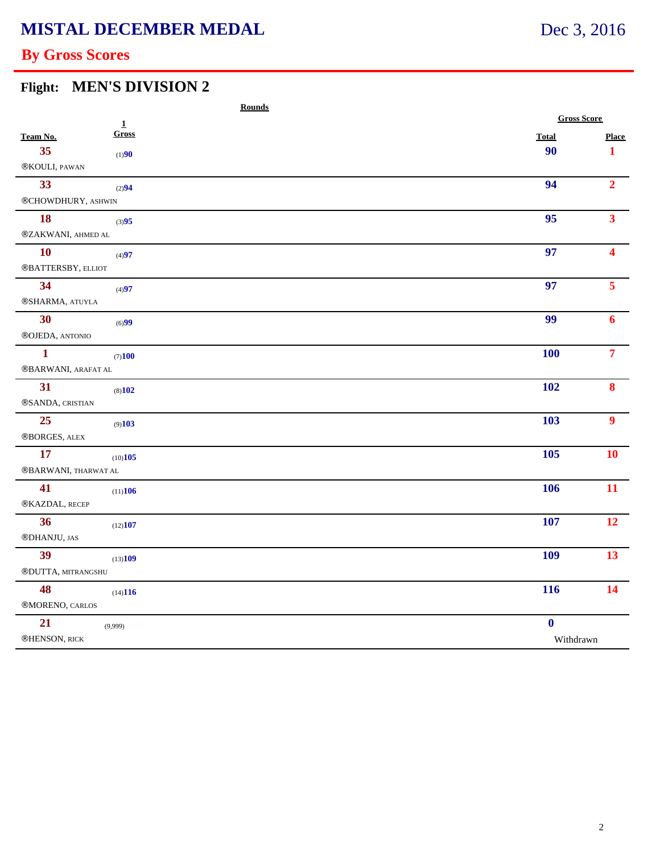### **By Gross Scores**

#### **Flight: MEN'S DIVISION 2**

|                                | <b>Rounds</b>   |                    |                         |
|--------------------------------|-----------------|--------------------|-------------------------|
|                                | $\underline{1}$ | <b>Gross Score</b> |                         |
| Team No.                       | Gross           | <b>Total</b>       | <b>Place</b>            |
| 35                             | (1)90           | 90                 | $\mathbf{1}$            |
| ®KOULI, PAWAN                  |                 |                    |                         |
| 33                             | (2)94           | 94                 | $\overline{2}$          |
| ®CHOWDHURY, ASHWIN             |                 |                    |                         |
| 18                             | (3)95           | 95                 | $\overline{\mathbf{3}}$ |
| $@{\mathsf{ZAKWANI}}$ AHMED AL |                 |                    |                         |
| <b>10</b>                      | (4)97           | 97                 | Δ                       |
| ®BATTERSBY, ELLIOT             |                 |                    |                         |
| 34                             | (4)97           | 97                 | $\overline{5}$          |
| ®SHARMA, ATUYLA                |                 |                    |                         |
| 30                             | (6)99           | 99                 | 6                       |
| ®OJEDA, ANTONIO                |                 |                    |                         |
| $\mathbf{1}$                   | (7)100          | <b>100</b>         | $\overline{7}$          |
| ®BARWANI, ARAFAT AL            |                 |                    |                         |
| 31                             | (8)102          | 102                | 8                       |
| ®SANDA, CRISTIAN               |                 |                    |                         |
| 25                             | (9)103          | 103                | $\boldsymbol{9}$        |
| ®BORGES, ALEX                  |                 |                    |                         |
| 17                             | (10)105         | 105                | <b>10</b>               |
| ®BARWANI, THARWAT AL           |                 |                    |                         |
| 41                             | (11)106         | 106                | 11                      |
| ®KAZDAL, RECEP                 |                 |                    |                         |
| 36                             | (12)107         | 107                | 12                      |
| ®DHANJU, JAS                   |                 |                    |                         |
| 39                             | (13)109         | 109                | 13 <sup>7</sup>         |
| ®DUTTA, MITRANGSHU             |                 |                    |                         |
| 48                             | (14)116         | 116                | 14                      |
| ®MORENO, CARLOS                |                 |                    |                         |
| 21                             | (9,999)         | $\mathbf{0}$       |                         |
| ®HENSON, RICK                  |                 | Withdrawn          |                         |
|                                |                 |                    |                         |